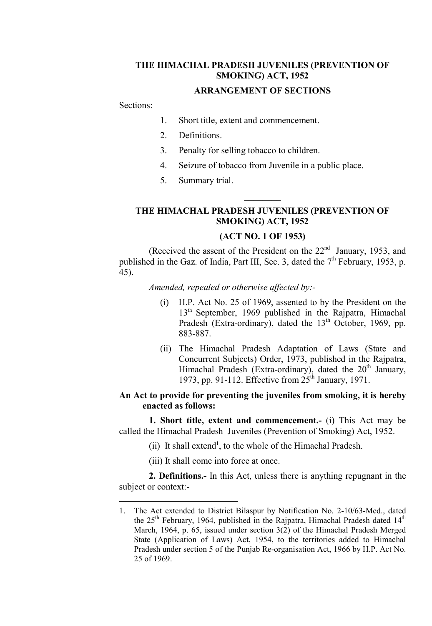### THE HIMACHAL PRADESH JUVENILES (PREVENTION OF SMOKING) ACT, 1952

#### ARRANGEMENT OF SECTIONS

Sections:

 $\overline{a}$ 

- 1. Short title, extent and commencement.
- 2. Definitions.
- 3. Penalty for selling tobacco to children.
- 4. Seizure of tobacco from Juvenile in a public place.
- 5. Summary trial.

# THE HIMACHAL PRADESH JUVENILES (PREVENTION OF SMOKING) ACT, 1952

 $\frac{1}{2}$ 

## (ACT NO. 1 OF 1953)

(Received the assent of the President on the  $22<sup>nd</sup>$  January, 1953, and published in the Gaz. of India, Part III, Sec. 3, dated the  $7<sup>th</sup>$  February, 1953, p. 45).

Amended, repealed or otherwise affected by:-

- (i) H.P. Act No. 25 of 1969, assented to by the President on the  $13<sup>th</sup>$  September, 1969 published in the Rajpatra, Himachal Pradesh (Extra-ordinary), dated the  $13<sup>th</sup>$  October, 1969, pp. 883-887.
- (ii) The Himachal Pradesh Adaptation of Laws (State and Concurrent Subjects) Order, 1973, published in the Rajpatra, Himachal Pradesh (Extra-ordinary), dated the  $20<sup>th</sup>$  January, 1973, pp. 91-112. Effective from  $25<sup>th</sup>$  January, 1971.

## An Act to provide for preventing the juveniles from smoking, it is hereby enacted as follows:

1. Short title, extent and commencement.- (i) This Act may be called the Himachal Pradesh Juveniles (Prevention of Smoking) Act, 1952.

- $(ii)$  It shall extend<sup>1</sup>, to the whole of the Himachal Pradesh.
- (iii) It shall come into force at once.

2. Definitions.- In this Act, unless there is anything repugnant in the subject or context:-

<sup>1.</sup> The Act extended to District Bilaspur by Notification No. 2-10/63-Med., dated the  $25<sup>th</sup>$  February, 1964, published in the Rajpatra, Himachal Pradesh dated  $14<sup>th</sup>$ March, 1964, p. 65, issued under section 3(2) of the Himachal Pradesh Merged State (Application of Laws) Act, 1954, to the territories added to Himachal Pradesh under section 5 of the Punjab Re-organisation Act, 1966 by H.P. Act No. 25 of 1969.